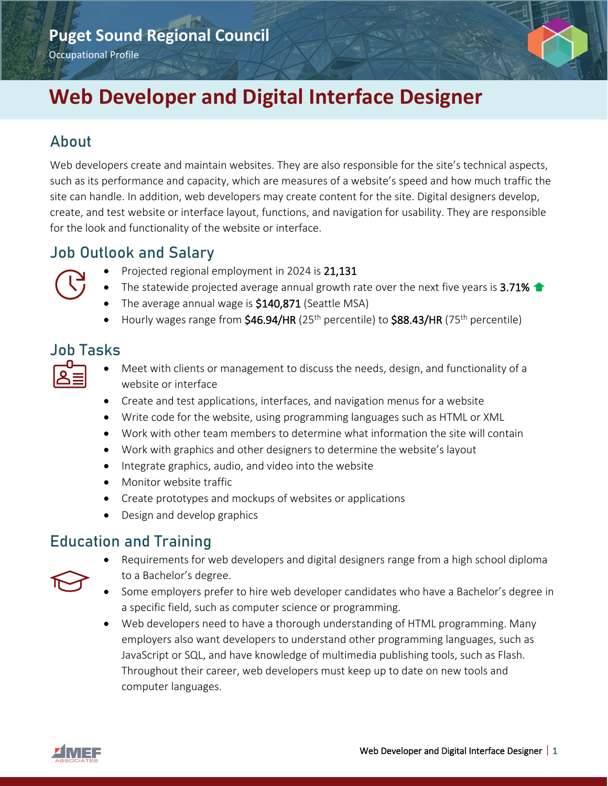# **Puget Sound Regional Council**

Occupational Profile

# **Web Developer and Digital Interface Designer**

### About

Web developers create and maintain websites. They are also responsible for the site's technical aspects, such as its performance and capacity, which are measures of a website's speed and how much traffic the site can handle. In addition, web developers may create content for the site. Digital designers develop, create, and test website or interface layout, functions, and navigation for usability. They are responsible for the look and functionality of the website or interface.

### Job Outlook and Salary

- Projected regional employment in 2024 is 21,131
- The statewide projected average annual growth rate over the next five years is 3.71%  $\triangle$
- The average annual wage is  $$140,871$  (Seattle MSA)
- Hourly wages range from  $$46.94/HR$  (25<sup>th</sup> percentile) to  $$88.43/HR$  (75<sup>th</sup> percentile)

#### Job Tasks

- Meet with clients or management to discuss the needs, design, and functionality of a website or interface
- Create and test applications, interfaces, and navigation menus for a website
- Write code for the website, using programming languages such as HTML or XML
- Work with other team members to determine what information the site will contain
- Work with graphics and other designers to determine the website's layout
- Integrate graphics, audio, and video into the website
- Monitor website traffic
- Create prototypes and mockups of websites or applications
- Design and develop graphics

### Education and Training

- Requirements for web developers and digital designers range from a high school diploma to a Bachelor's degree.
- Some employers prefer to hire web developer candidates who have a Bachelor's degree in a specific field, such as computer science or programming.
- Web developers need to have a thorough understanding of HTML programming. Many employers also want developers to understand other programming languages, such as JavaScript or SQL, and have knowledge of multimedia publishing tools, such as Flash. Throughout their career, web developers must keep up to date on new tools and computer languages.



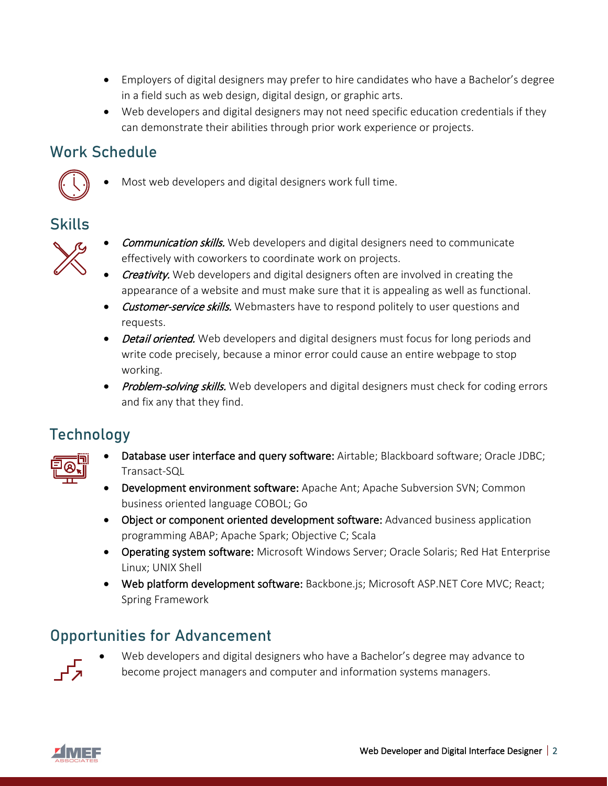- Employers of digital designers may prefer to hire candidates who have a Bachelor's degree in a field such as web design, digital design, or graphic arts.
- Web developers and digital designers may not need specific education credentials if they can demonstrate their abilities through prior work experience or projects.

### Work Schedule



• Most web developers and digital designers work full time.

# Skills



- **Communication skills.** Web developers and digital designers need to communicate effectively with coworkers to coordinate work on projects.
- Creativity. Web developers and digital designers often are involved in creating the appearance of a website and must make sure that it is appealing as well as functional.
- Customer-service skills. Webmasters have to respond politely to user questions and requests.
- Detail oriented. Web developers and digital designers must focus for long periods and write code precisely, because a minor error could cause an entire webpage to stop working.
- Problem-solving skills. Web developers and digital designers must check for coding errors and fix any that they find.

### Technology



- Database user interface and query software: Airtable; Blackboard software; Oracle JDBC; Transact-SQL
- Development environment software: Apache Ant; Apache Subversion SVN; Common business oriented language COBOL; Go
- Object or component oriented development software: Advanced business application programming ABAP; Apache Spark; Objective C; Scala
- Operating system software: Microsoft Windows Server; Oracle Solaris; Red Hat Enterprise Linux; UNIX Shell
- Web platform development software: Backbone.js; Microsoft ASP.NET Core MVC; React; Spring Framework

### Opportunities for Advancement



• Web developers and digital designers who have a Bachelor's degree may advance to become project managers and computer and information systems managers.

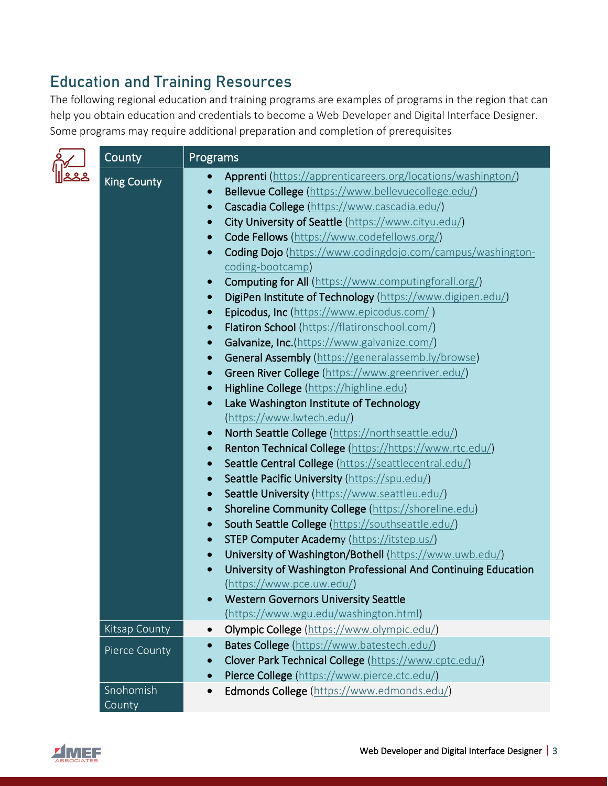### Education and Training Resources

The following regional education and training programs are examples of programs in the region that can help you obtain education and credentials to become a Web Developer and Digital Interface Designer. Some programs may require additional preparation and completion of prerequisites

| County               | Programs                                                                    |
|----------------------|-----------------------------------------------------------------------------|
| <b>King County</b>   | Apprenti (https://apprenticareers.org/locations/washington/)<br>$\bullet$   |
|                      | Bellevue College (https://www.bellevuecollege.edu/)<br>$\bullet$            |
|                      | Cascadia College (https://www.cascadia.edu/)<br>$\bullet$                   |
|                      | City University of Seattle (https://www.cityu.edu/)<br>$\bullet$            |
|                      | Code Fellows (https://www.codefellows.org/)<br>$\bullet$                    |
|                      | Coding Dojo (https://www.codingdojo.com/campus/washington-<br>$\bullet$     |
|                      | coding-bootcamp)                                                            |
|                      | Computing for All (https://www.computingforall.org/)<br>$\bullet$           |
|                      | DigiPen Institute of Technology (https://www.digipen.edu/)<br>$\bullet$     |
|                      | Epicodus, Inc (https://www.epicodus.com/)<br>$\bullet$                      |
|                      | Flatiron School (https://flatironschool.com/)<br>$\bullet$                  |
|                      | Galvanize, Inc.(https://www.galvanize.com/)<br>$\bullet$                    |
|                      | General Assembly (https://generalassemb.ly/browse)<br>$\bullet$             |
|                      | Green River College (https://www.greenriver.edu/)<br>$\bullet$              |
|                      | Highline College (https://highline.edu)<br>$\bullet$                        |
|                      | Lake Washington Institute of Technology<br>$\bullet$                        |
|                      | (https://www.lwtech.edu/)                                                   |
|                      | North Seattle College (https://northseattle.edu/)<br>$\bullet$              |
|                      | Renton Technical College (https://https://www.rtc.edu/)<br>$\bullet$        |
|                      | Seattle Central College (https://seattlecentral.edu/)<br>$\bullet$          |
|                      | Seattle Pacific University (https://spu.edu/)<br>$\bullet$                  |
|                      | Seattle University (https://www.seattleu.edu/)<br>$\bullet$                 |
|                      | Shoreline Community College (https://shoreline.edu)<br>$\bullet$            |
|                      | South Seattle College (https://southseattle.edu/)<br>$\bullet$              |
|                      | STEP Computer Academy (https://itstep.us/)<br>$\bullet$                     |
|                      | University of Washington/Bothell (https://www.uwb.edu/)<br>$\bullet$        |
|                      | University of Washington Professional And Continuing Education<br>$\bullet$ |
|                      | (htips://www.pce.uw.edu/)                                                   |
|                      | <b>Western Governors University Seattle</b>                                 |
|                      | (https://www.wgu.edu/washington.html)                                       |
| <b>Kitsap County</b> | Olympic College (https://www.olympic.edu/)<br>$\bullet$                     |
| Pierce County        | Bates College (https://www.batestech.edu/)<br>$\bullet$                     |
|                      | Clover Park Technical College (https://www.cptc.edu/)                       |
|                      | Pierce College (https://www.pierce.ctc.edu/)<br>$\bullet$                   |
| Snohomish<br>County  | Edmonds College (https://www.edmonds.edu/)<br>$\bullet$                     |